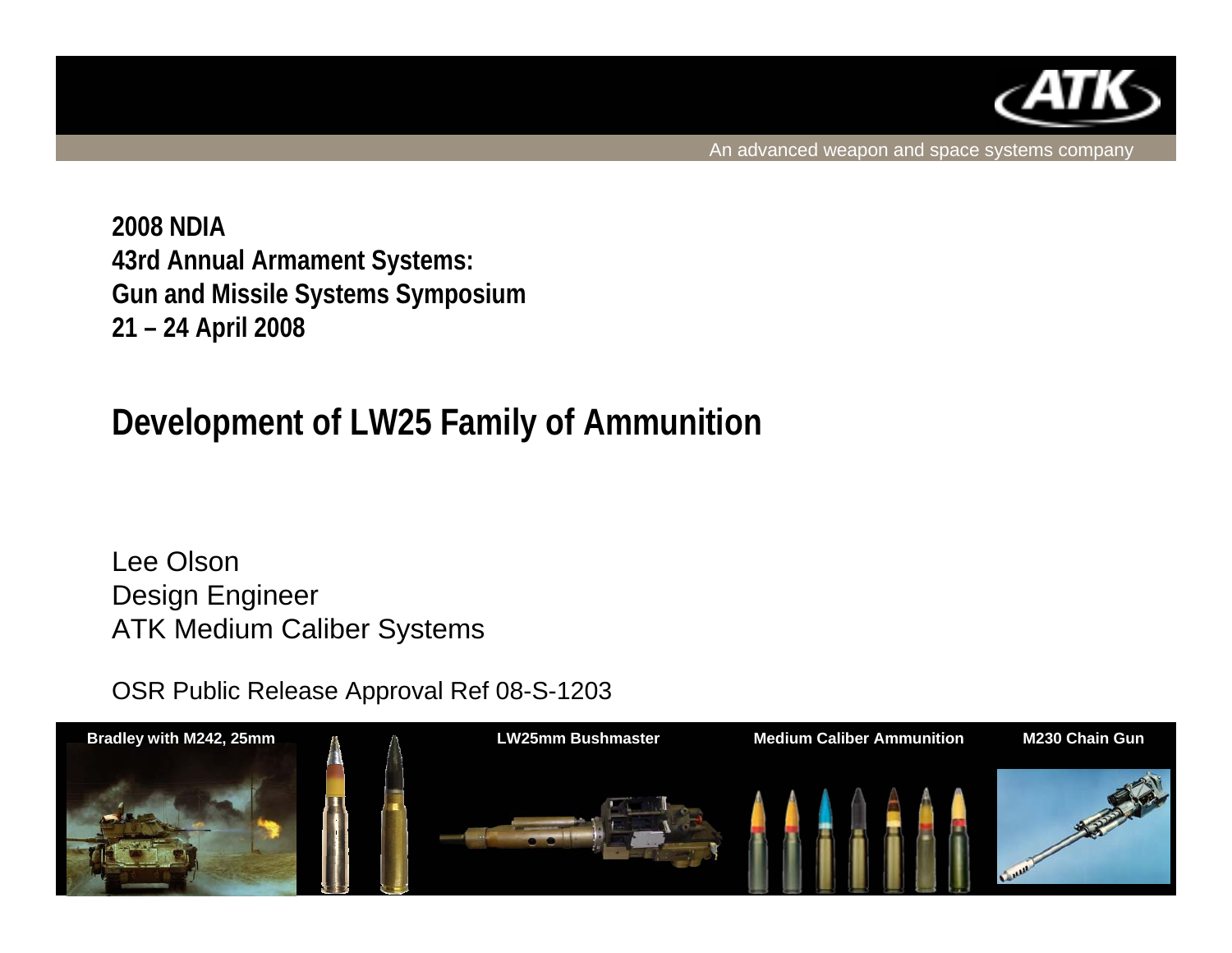

An advanced weapon and space systems company

**2008 NDIA43rd Annual Armament Systems: Gun and Missile Systems Symposium 21 – 24 April 2008**

## **Development of LW25 Family of Ammunition**

Lee OlsonDesign Engineer ATK Medium Caliber Systems

OSR Public Release Approval Ref 08-S-1203

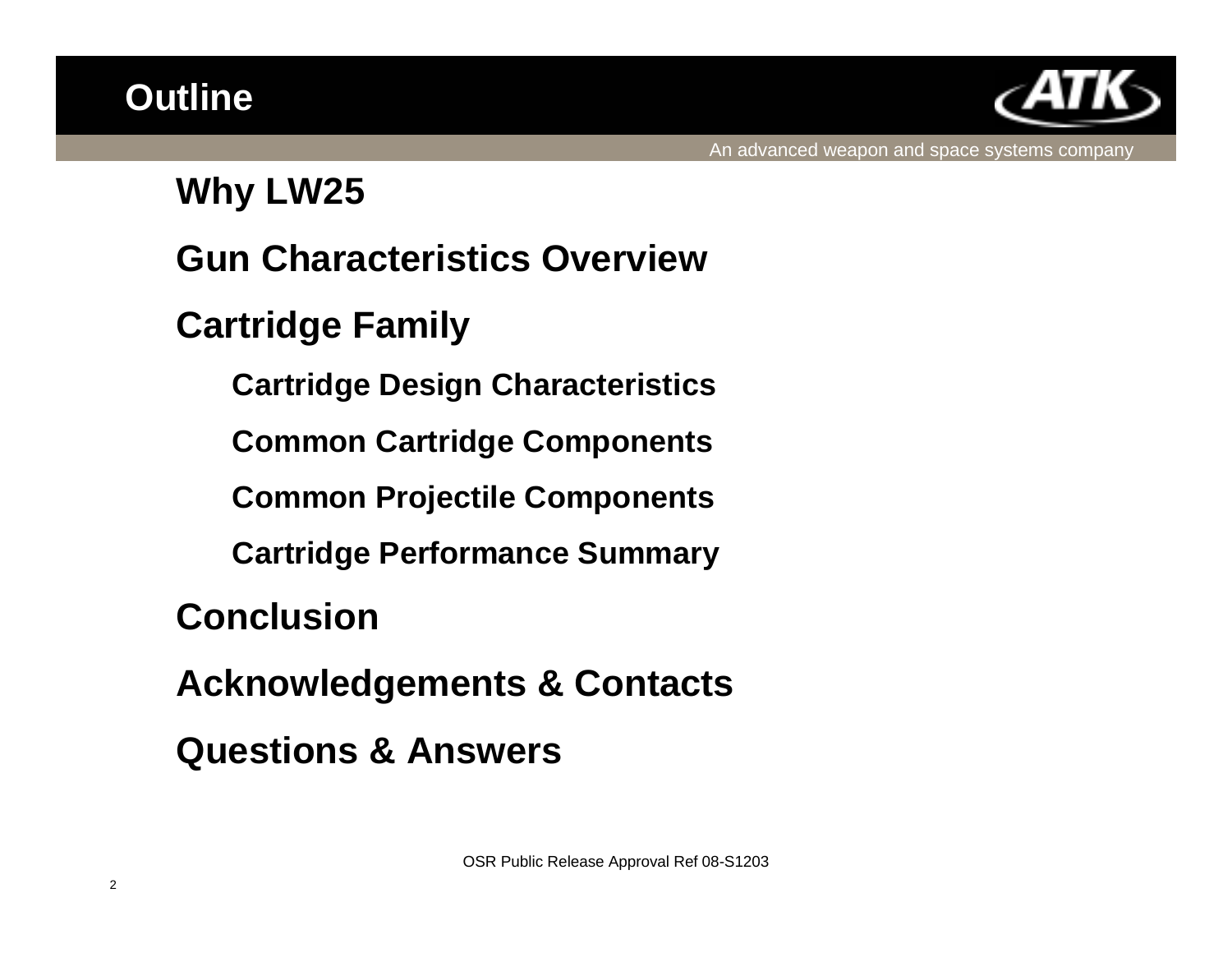

### **Why LW25**

## **Gun Characteristics Overview**

## **Cartridge Family**

**Cartridge Design Characteristics**

**Common Cartridge Components**

**Common Projectile Components**

**Cartridge Performance Summary**

**Conclusion**

**Acknowledgements & Contacts**

**Questions & Answers**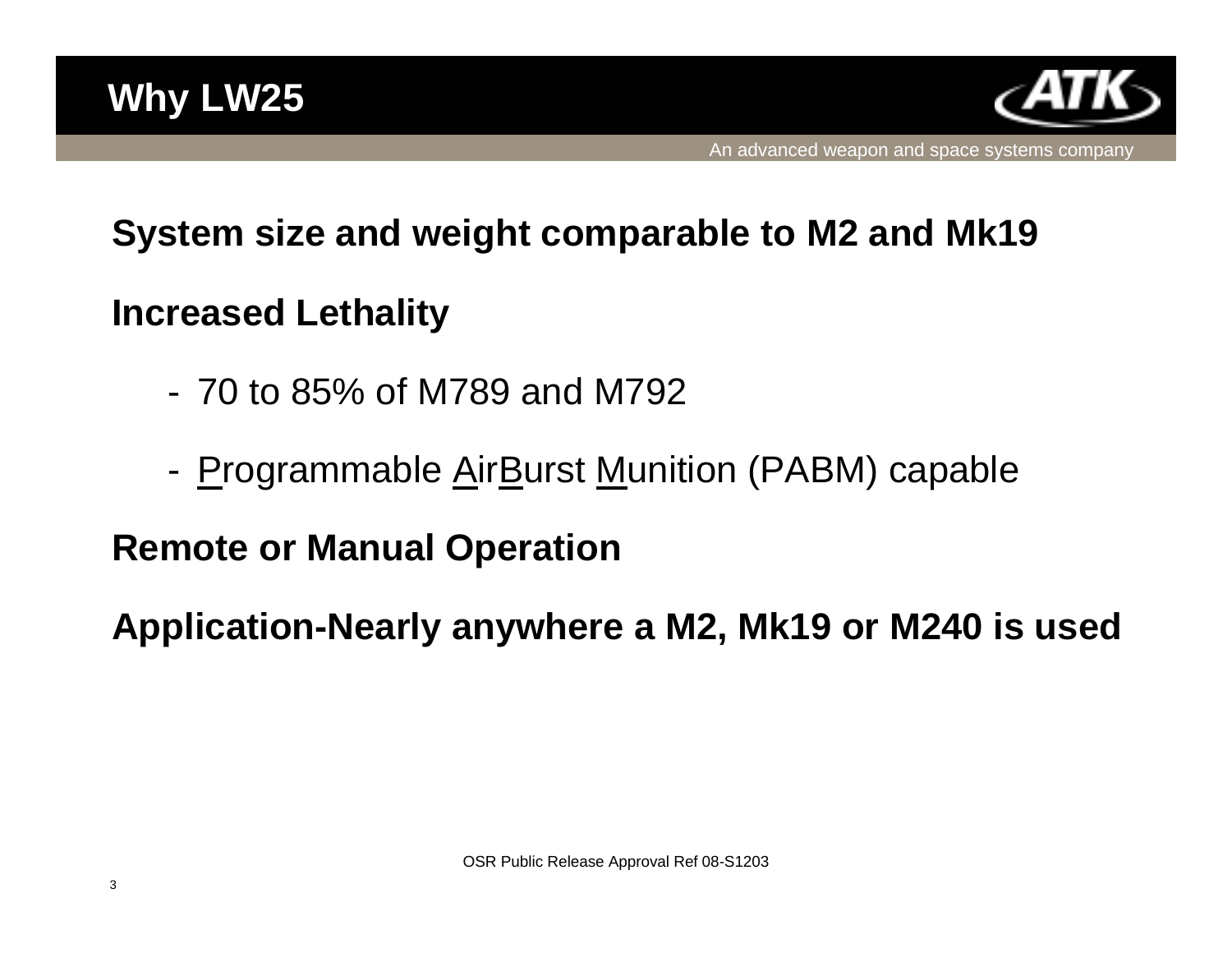

## **System size and weight comparable to M2 and Mk19**

## **Increased Lethality**

- 70 to 85% of M789 and M792
- -Programmable AirBurst Munition (PABM) capable

## **Remote or Manual Operation**

**Application-Nearly anywhere a M2, Mk19 or M240 is used**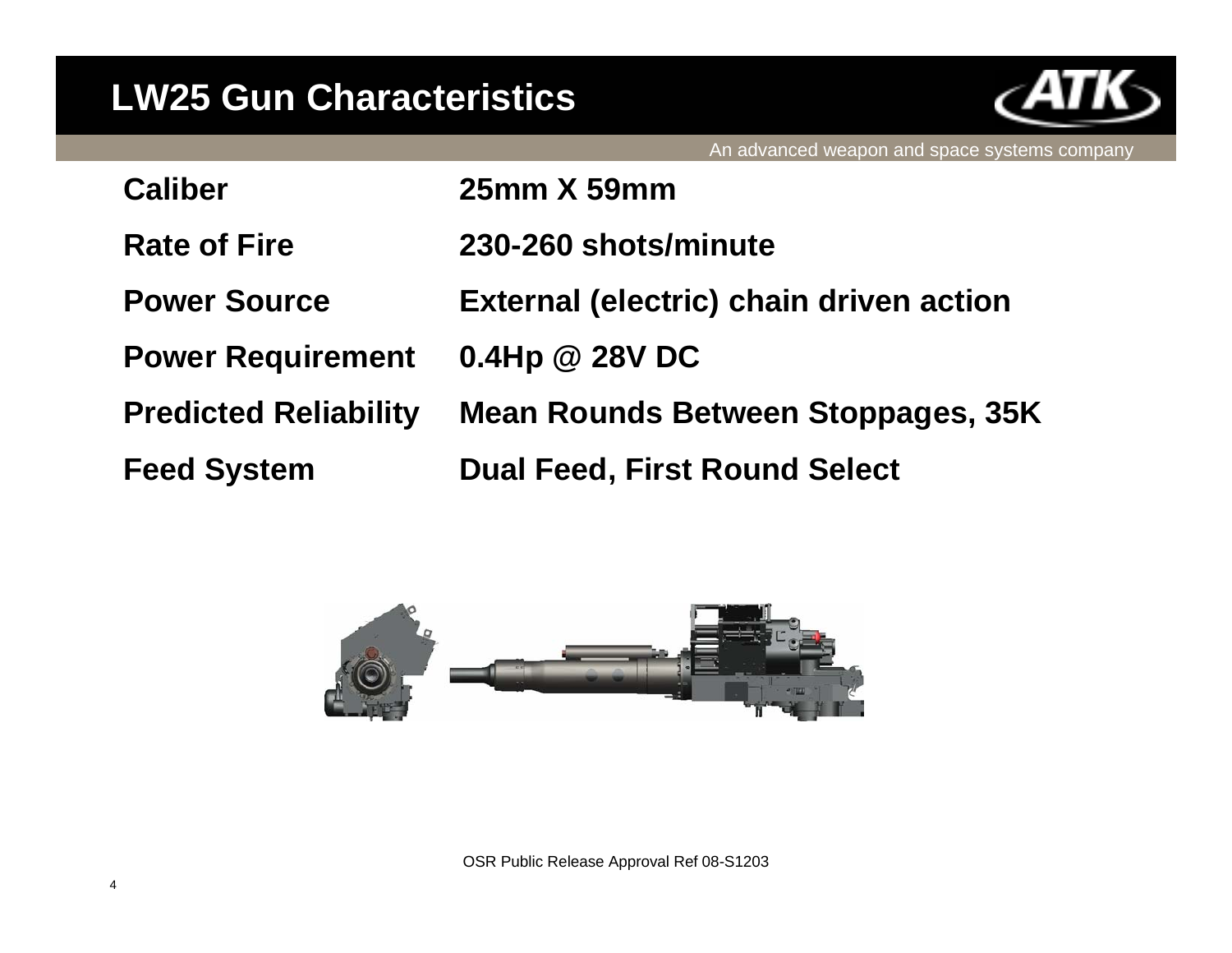## **LW25 Gun Characteristics**



|                              | An advanced weapon and space systems company   |
|------------------------------|------------------------------------------------|
| Caliber                      | 25mm X 59mm                                    |
| <b>Rate of Fire</b>          | 230-260 shots/minute                           |
| <b>Power Source</b>          | <b>External (electric) chain driven action</b> |
| <b>Power Requirement</b>     | $0.4$ Hp @ 28V DC                              |
| <b>Predicted Reliability</b> | <b>Mean Rounds Between Stoppages, 35K</b>      |
| <b>Feed System</b>           | <b>Dual Feed, First Round Select</b>           |
|                              |                                                |

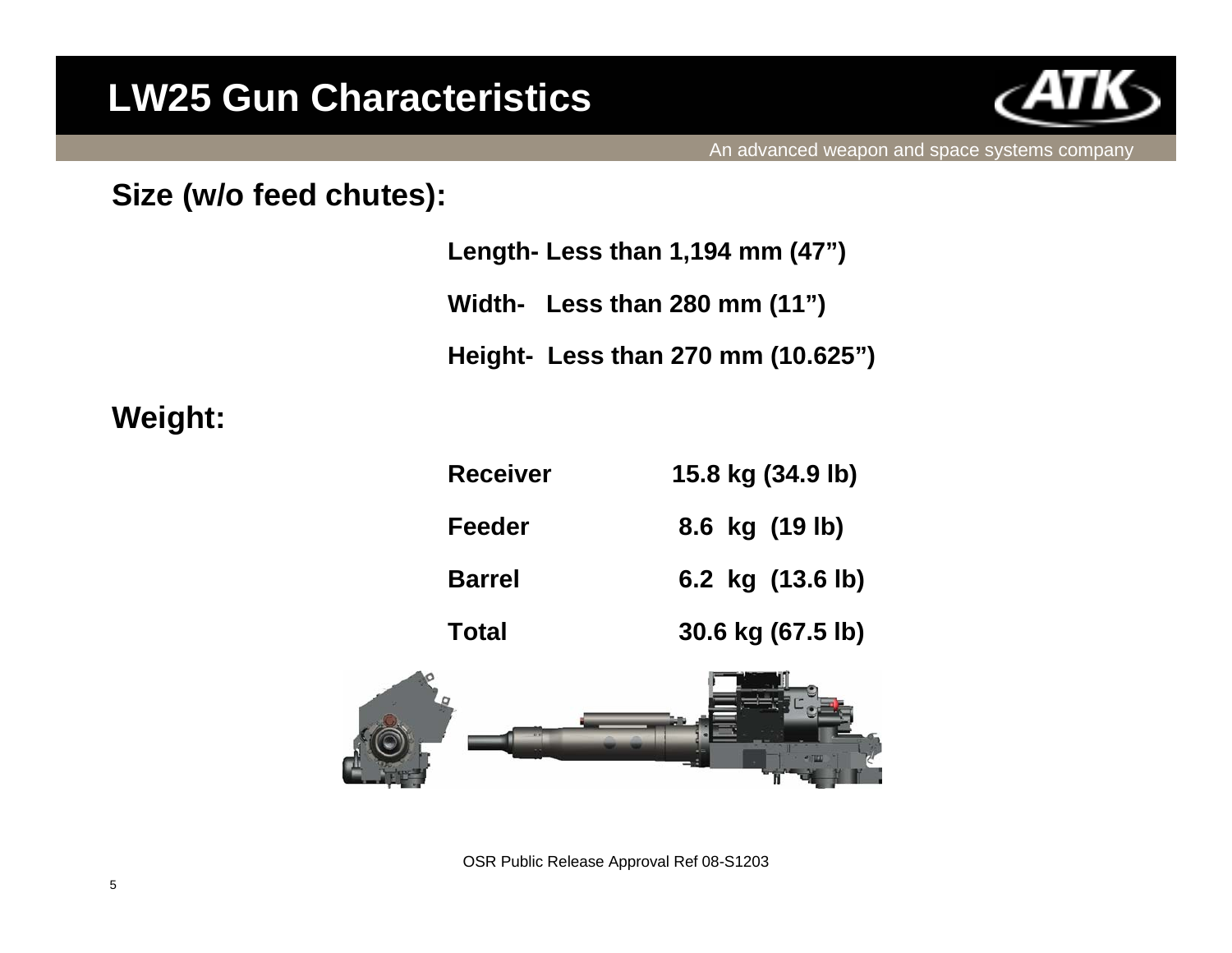## **LW25 Gun Characteristics**



#### **Size (w/o feed chutes):**

|  |  | Length- Less than 1,194 mm (47") |  |
|--|--|----------------------------------|--|
|--|--|----------------------------------|--|

**Width- Less than 280 mm (11")**

**Height- Less than 270 mm (10.625")**

#### **Weight:**

| <b>Receiver</b> | 15.8 kg (34.9 lb) |  |
|-----------------|-------------------|--|
| Feeder          | 8.6 kg (19 lb)    |  |
| <b>Barrel</b>   | 6.2 kg (13.6 lb)  |  |
| Total           | 30.6 kg (67.5 lb) |  |



OSR Public Release Approval Ref 08-S1203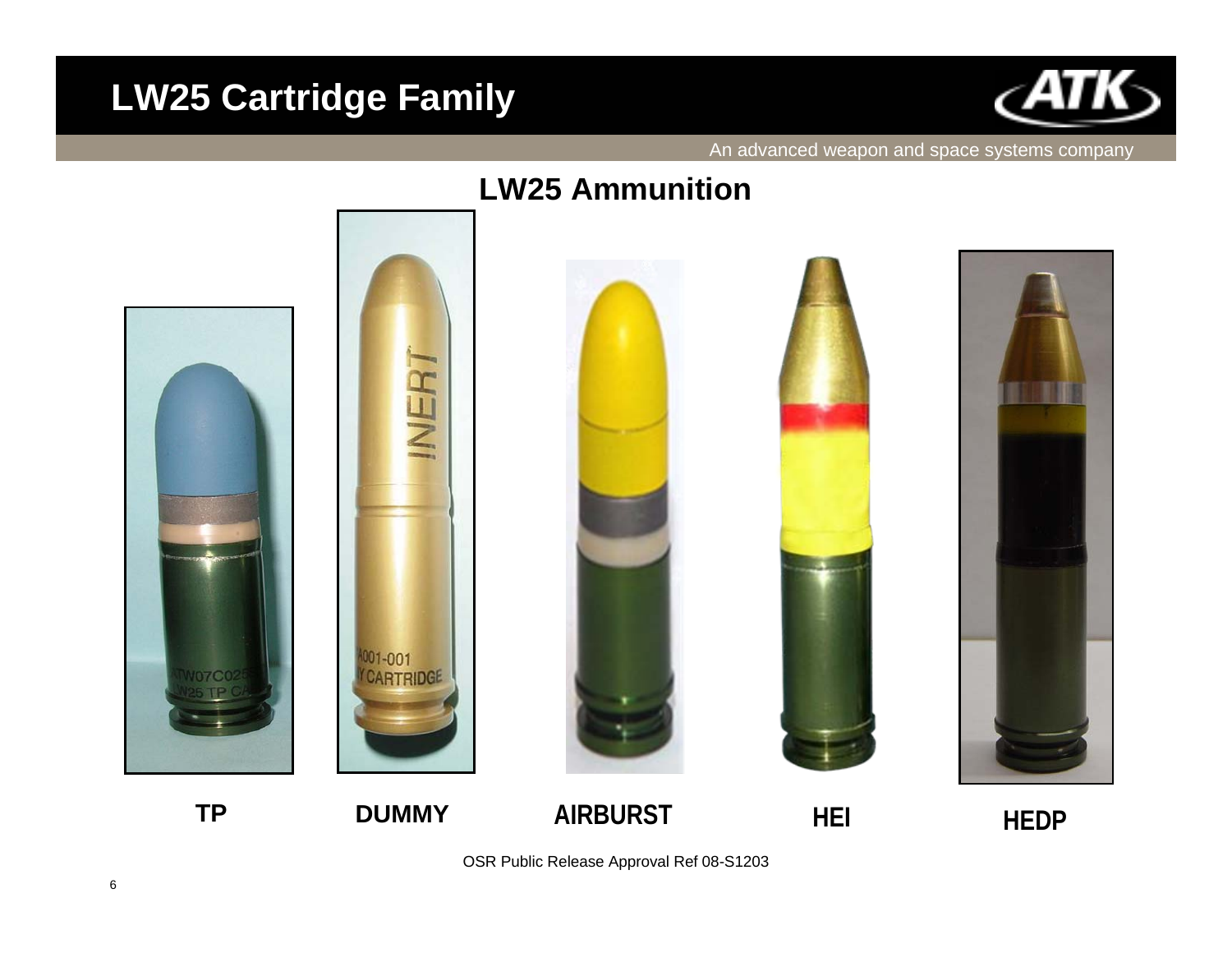## **LW25 Cartridge Family**



#### An advanced weapon and space systems company

#### **LW25 Ammunition**











**TP**

OSR Public Release Approval Ref 08-S1203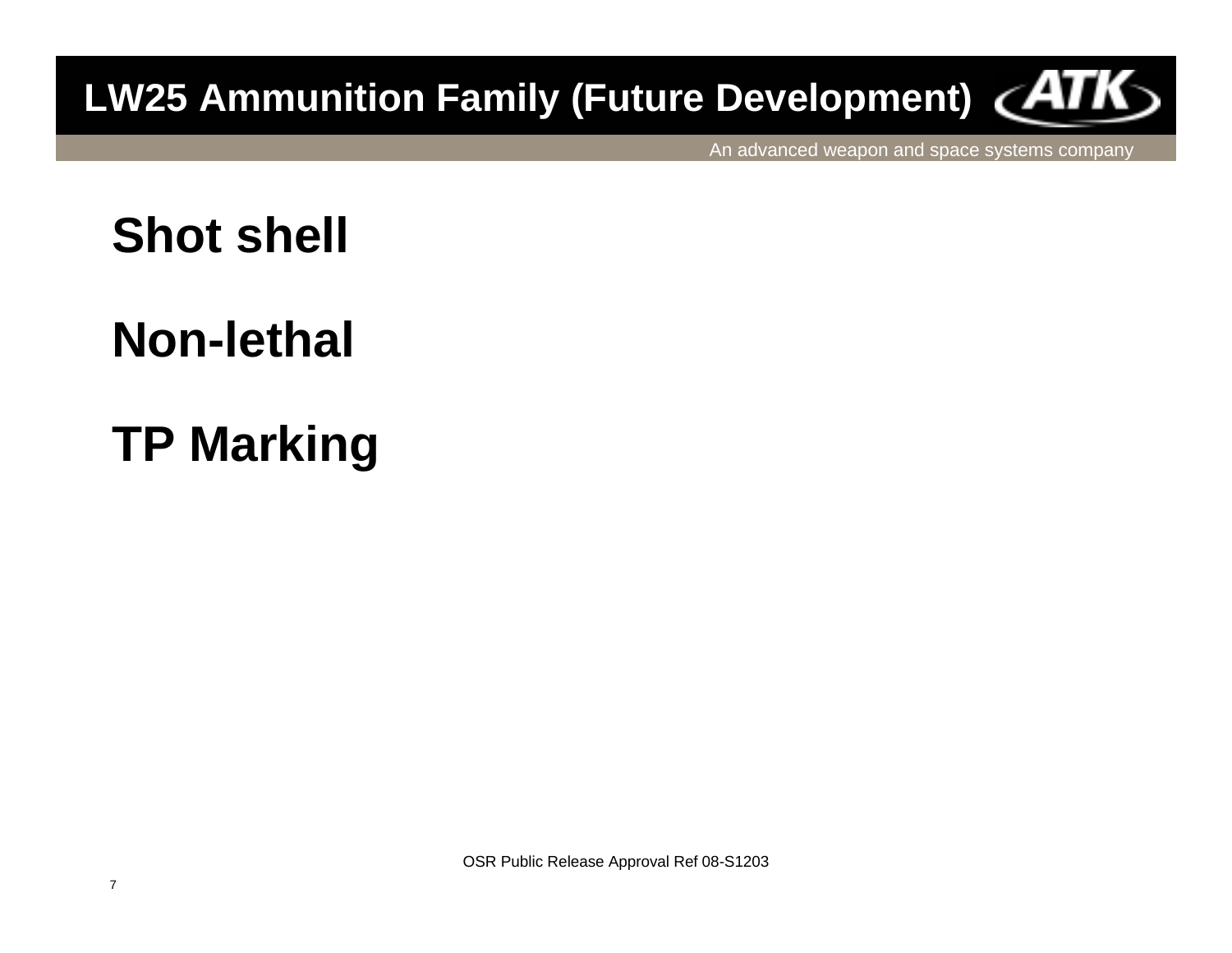# **LW25 Ammunition Family (Future Development)**

An advanced weapon and space systems company

## **Shot shell**

## **Non-lethal**

# **TP Marking**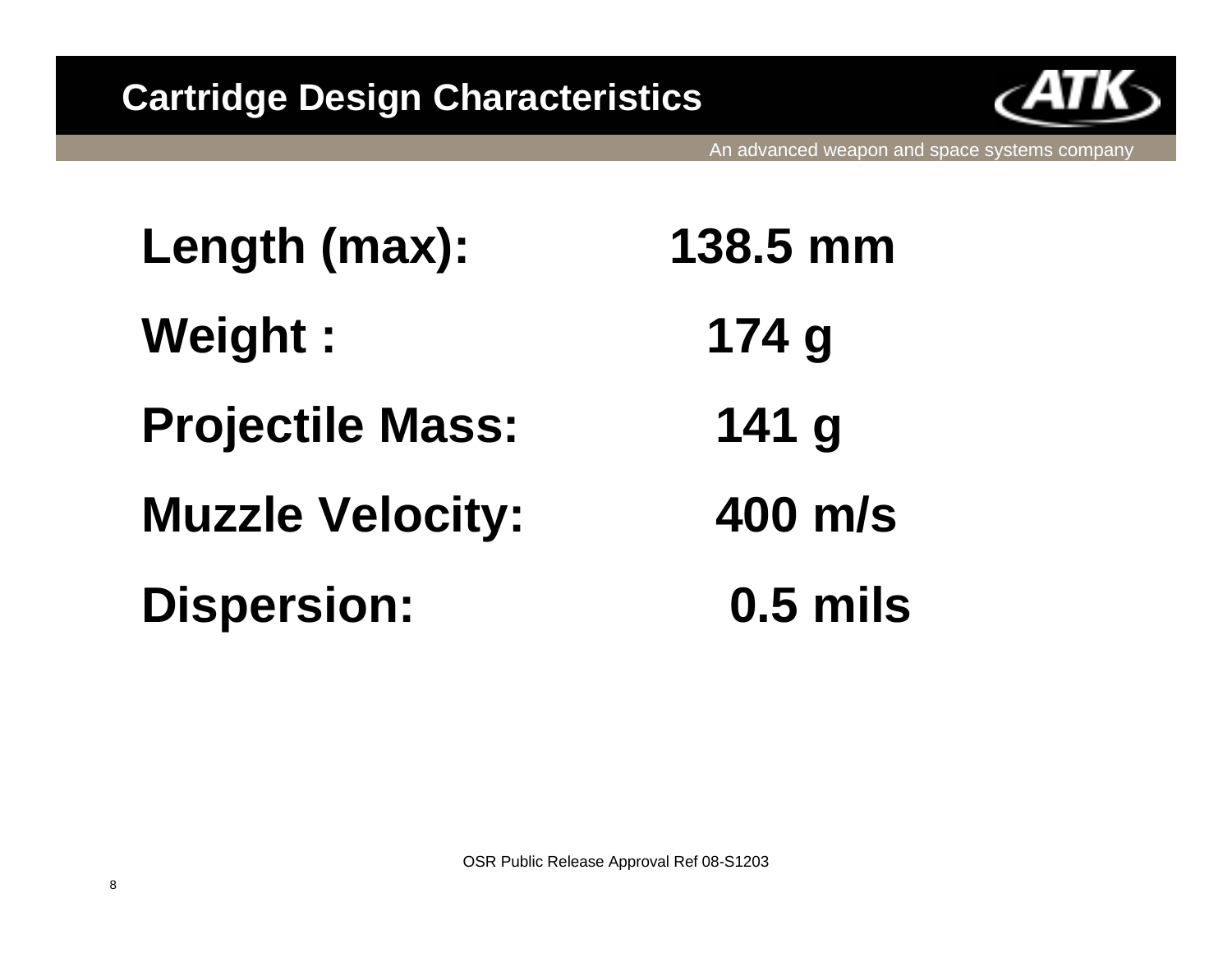

An advanced weapon and space systems company

**Length (max): 138.5 mm Weight : 174 g Projectile Mass: 141 g Muzzle Velocity: 400 m/s Dispersion: 0.5 mils**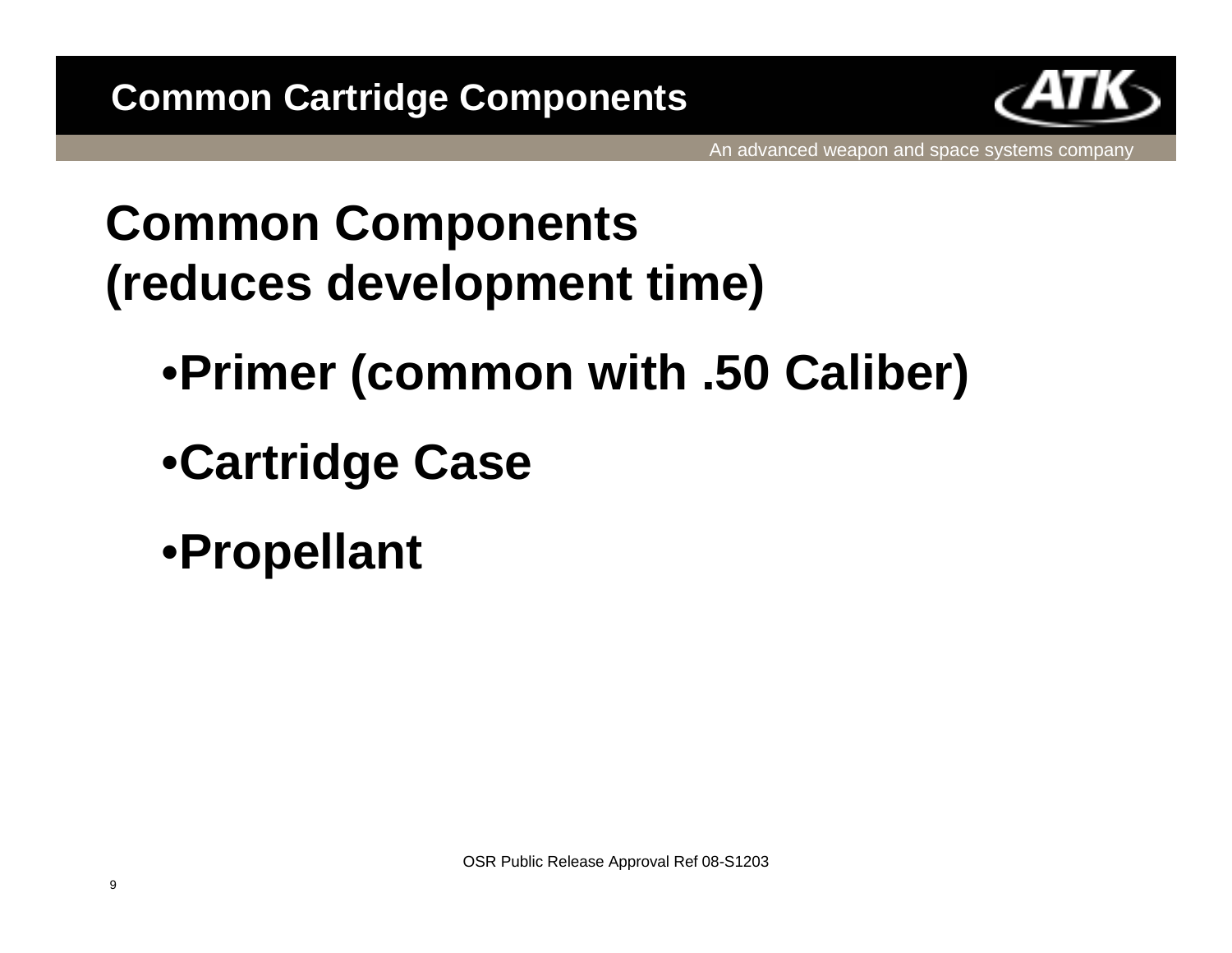

## **Common Components (reduces development time)**

- •**Primer (common with .50 Caliber)**
- •**Cartridge Case**
- •**Propellant**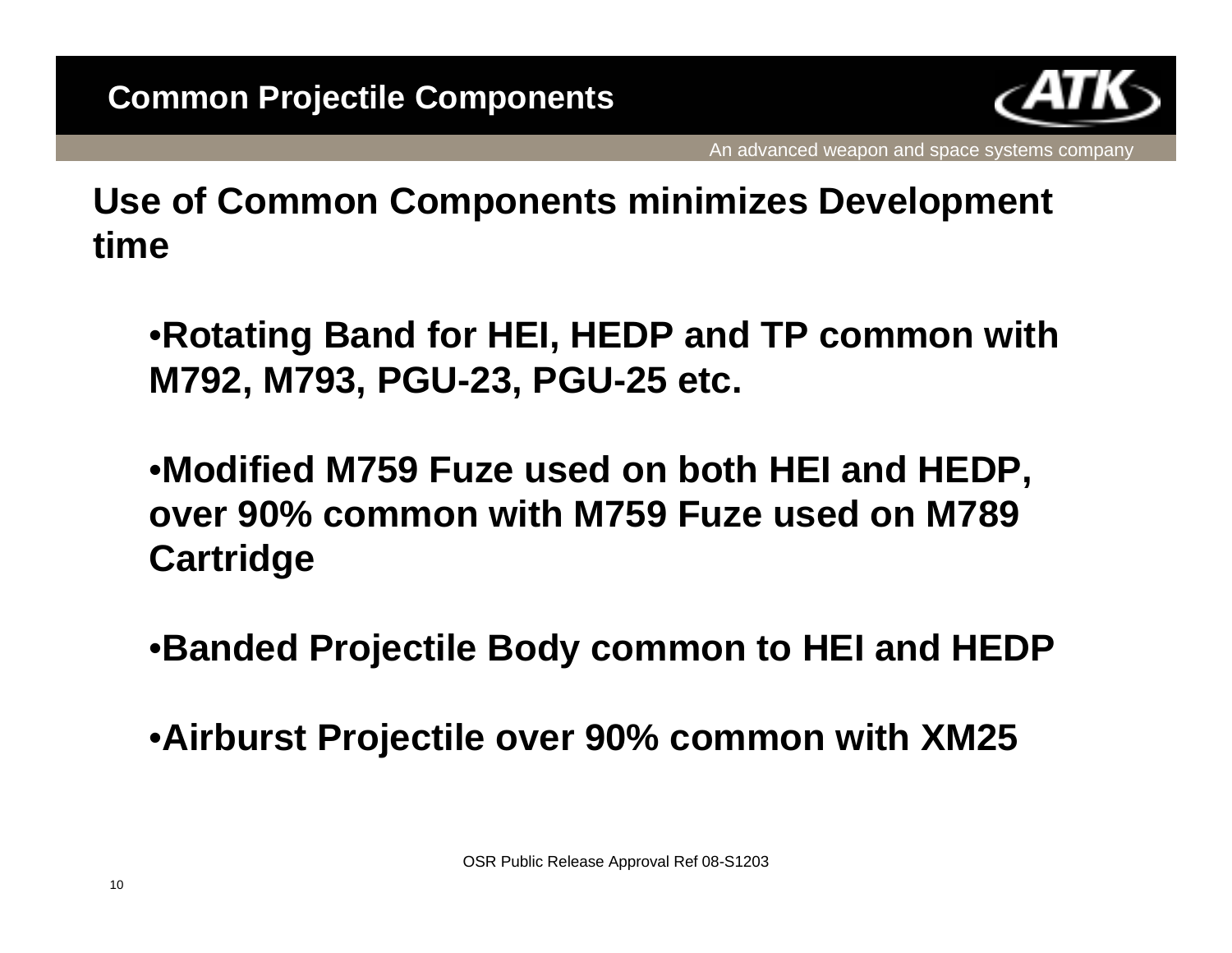

**Use of Common Components minimizes Development time**

•**Rotating Band for HEI, HEDP and TP common with M792, M793, PGU-23, PGU-25 etc.**

•**Modified M759 Fuze used on both HEI and HEDP, over 90% common with M759 Fuze used on M789 Cartridge**

•**Banded Projectile Body common to HEI and HEDP**

•**Airburst Projectile over 90% common with XM25**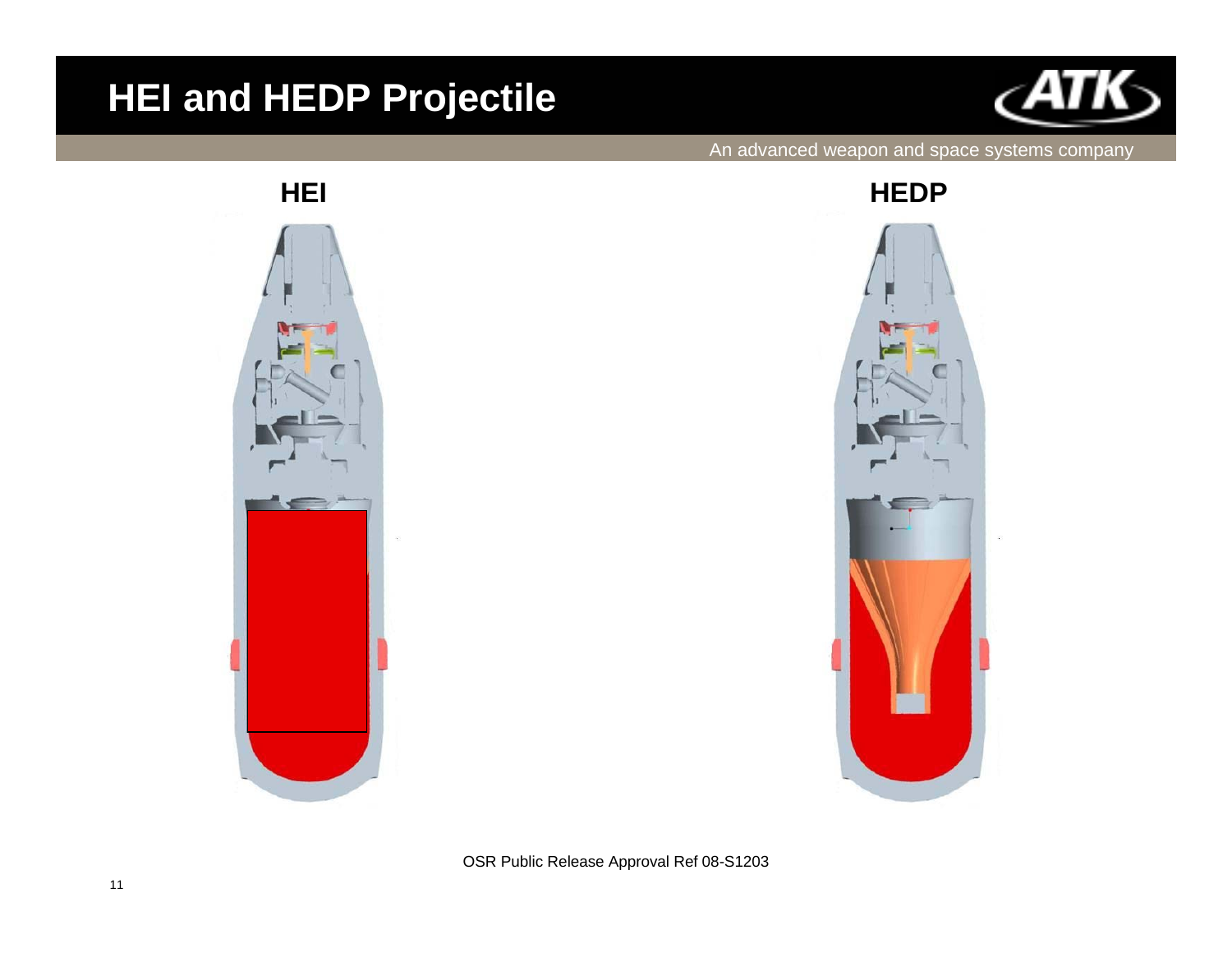## **HEI and HEDP Projectile**



#### An advanced weapon and space systems company





OSR Public Release Approval Ref 08-S1203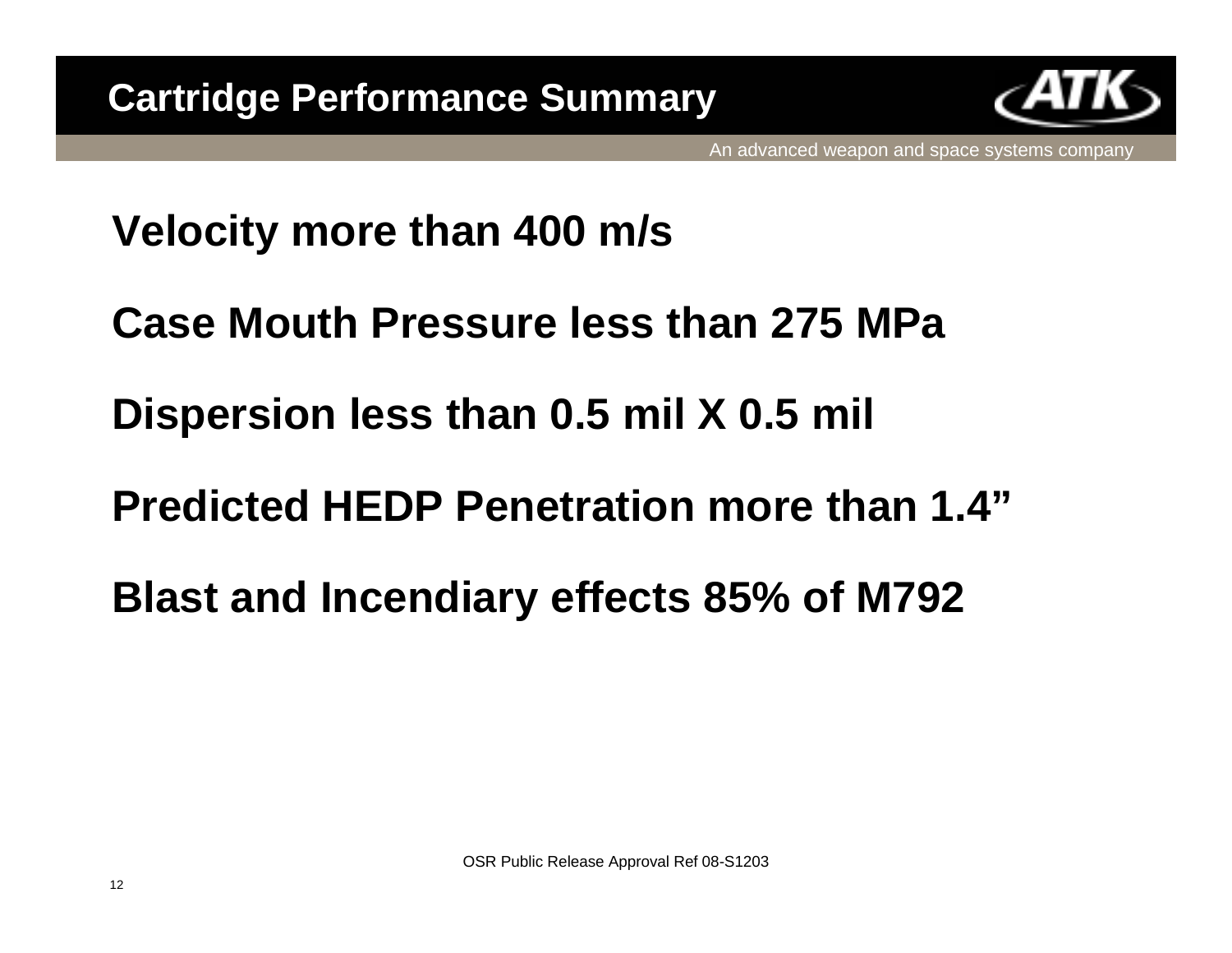

## **Velocity more than 400 m/s**

- **Case Mouth Pressure less than 275 MPa**
- **Dispersion less than 0.5 mil X 0.5 mil**
- **Predicted HEDP Penetration more than 1.4"**
- **Blast and Incendiary effects 85% of M792**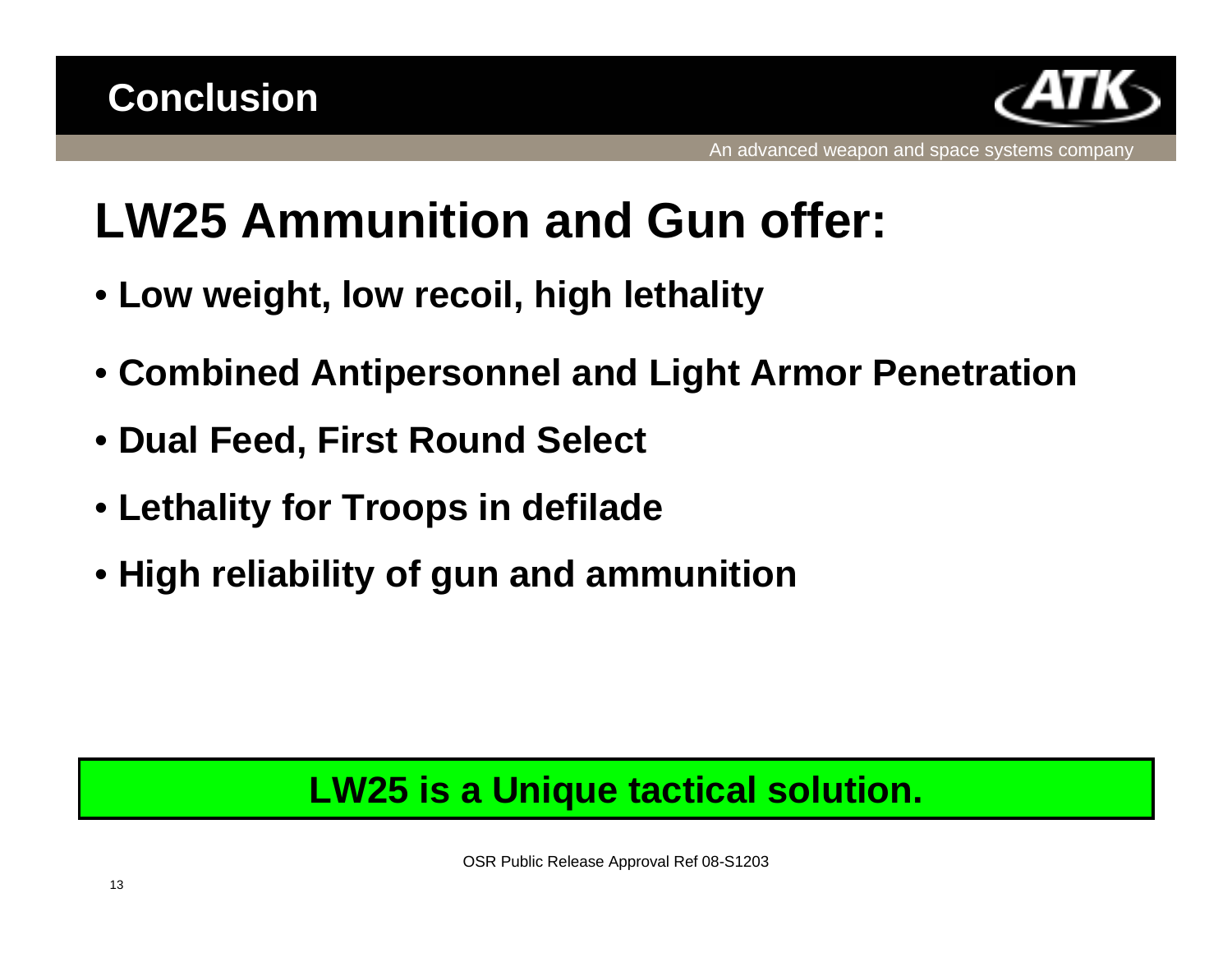

# **LW25 Ammunition and Gun offer:**

- **Low weight, low recoil, high lethality**
- **Combined Antipersonnel and Light Armor Penetration**
- **Dual Feed, First Round Select**
- **Lethality for Troops in defilade**
- **High reliability of gun and ammunition**

## **LW25 is a Unique tactical solution.**